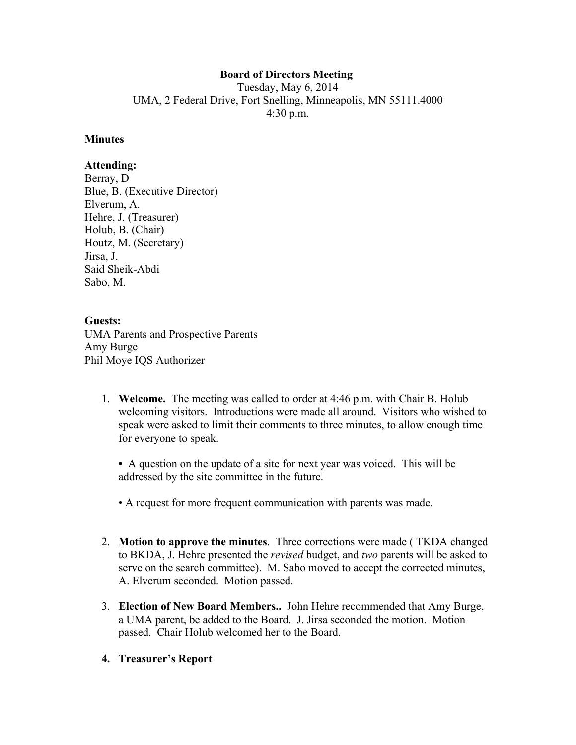# **Board of Directors Meeting**

Tuesday, May 6, 2014 UMA, 2 Federal Drive, Fort Snelling, Minneapolis, MN 55111.4000 4:30 p.m.

### **Minutes**

## **Attending:**

Berray, D Blue, B. (Executive Director) Elverum, A. Hehre, J. (Treasurer) Holub, B. (Chair) Houtz, M. (Secretary) Jirsa, J. Said Sheik-Abdi Sabo, M.

## **Guests:**

UMA Parents and Prospective Parents Amy Burge Phil Moye IQS Authorizer

1. **Welcome.** The meeting was called to order at 4:46 p.m. with Chair B. Holub welcoming visitors. Introductions were made all around. Visitors who wished to speak were asked to limit their comments to three minutes, to allow enough time for everyone to speak.

**•** A question on the update of a site for next year was voiced. This will be addressed by the site committee in the future.

- A request for more frequent communication with parents was made.
- 2. **Motion to approve the minutes**. Three corrections were made ( TKDA changed to BKDA, J. Hehre presented the *revised* budget, and *two* parents will be asked to serve on the search committee). M. Sabo moved to accept the corrected minutes, A. Elverum seconded. Motion passed.
- 3. **Election of New Board Members..** John Hehre recommended that Amy Burge, a UMA parent, be added to the Board. J. Jirsa seconded the motion. Motion passed. Chair Holub welcomed her to the Board.
- **4. Treasurer's Report**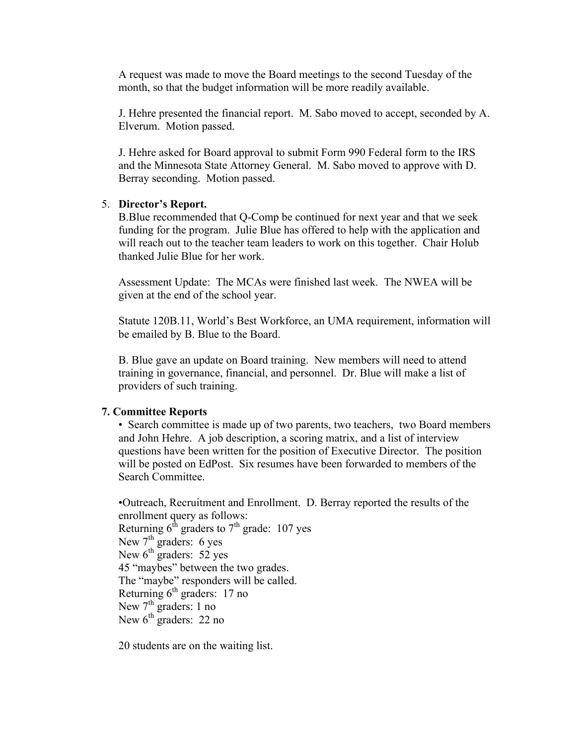A request was made to move the Board meetings to the second Tuesday of the month, so that the budget information will be more readily available.

J. Hehre presented the financial report. M. Sabo moved to accept, seconded by A. Elverum. Motion passed.

J. Hehre asked for Board approval to submit Form 990 Federal form to the IRS and the Minnesota State Attorney General. M. Sabo moved to approve with D. Berray seconding. Motion passed.

### 5. **Director's Report.**

B.Blue recommended that Q-Comp be continued for next year and that we seek funding for the program. Julie Blue has offered to help with the application and will reach out to the teacher team leaders to work on this together. Chair Holub thanked Julie Blue for her work.

Assessment Update: The MCAs were finished last week. The NWEA will be given at the end of the school year.

Statute 120B.11, World's Best Workforce, an UMA requirement, information will be emailed by B. Blue to the Board.

B. Blue gave an update on Board training. New members will need to attend training in governance, financial, and personnel. Dr. Blue will make a list of providers of such training.

#### **7. Committee Reports**

• Search committee is made up of two parents, two teachers, two Board members and John Hehre. A job description, a scoring matrix, and a list of interview questions have been written for the position of Executive Director. The position will be posted on EdPost. Six resumes have been forwarded to members of the Search Committee.

•Outreach, Recruitment and Enrollment. D. Berray reported the results of the enrollment query as follows: Returning  $6^{th}$  graders to  $7^{th}$  grade: 107 yes New  $7<sup>th</sup>$  graders: 6 yes New  $6^{th}$  graders: 52 yes 45 "maybes" between the two grades. The "maybe" responders will be called. Returning  $6<sup>th</sup>$  graders: 17 no New  $7<sup>th</sup>$  graders: 1 no New  $6^{\text{th}}$  graders: 22 no

20 students are on the waiting list.